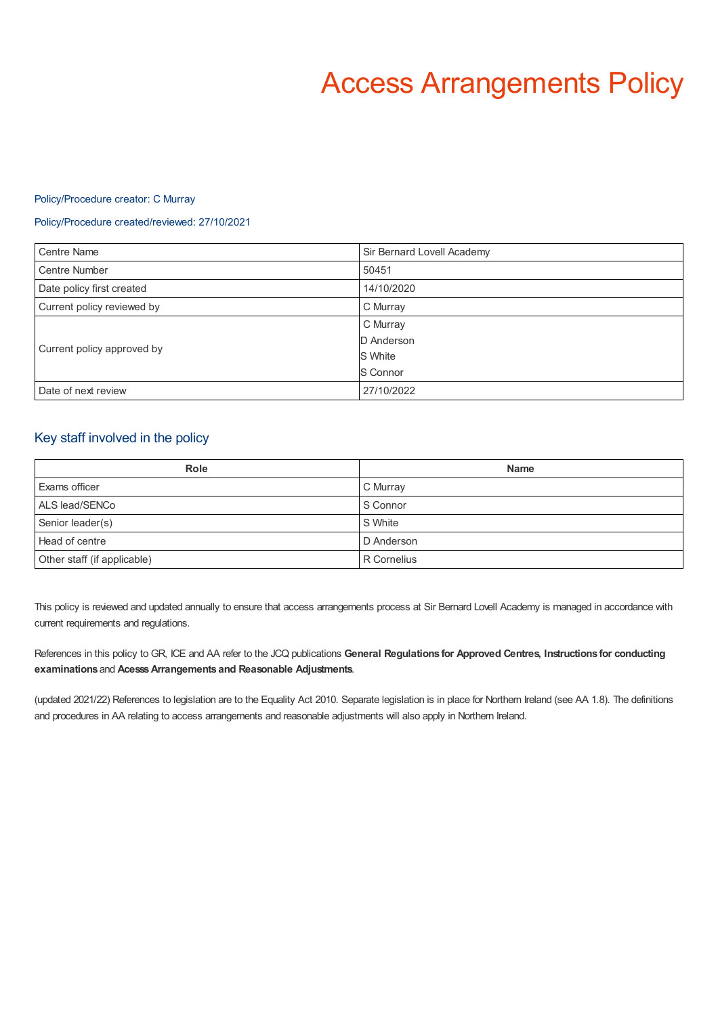# Access Arrangements Policy

## Policy/Procedure creator: C Murray

## Policy/Procedure created/reviewed: 27/10/2021

| <b>Centre Name</b>         | Sir Bernard Lovell Academy |
|----------------------------|----------------------------|
| <b>Centre Number</b>       | 50451                      |
| Date policy first created  | 14/10/2020                 |
| Current policy reviewed by | C Murray                   |
| Current policy approved by | C Murray                   |
|                            | D Anderson                 |
|                            | S White                    |
|                            | S Connor                   |
| Date of next review        | 27/10/2022                 |

## Key staff involved in the policy

| <b>Role</b>                 | <b>Name</b> |
|-----------------------------|-------------|
| Exams officer               | C Murray    |
| ALS lead/SENCo              | S Connor    |
| Senior leader(s)            | S White     |
| Head of centre              | D Anderson  |
| Other staff (if applicable) | R Cornelius |

This policy is reviewed and updated annually to ensure that access arrangements process at Sir Bernard Lovell Academy is managed in accordance with current requirements and regulations.

References in this policy to GR, ICE and AA refer to the JCQ publications **General Regulations for Approved Centres, Instructions for conducting examinations** and **AcesssArrangements and Reasonable Adjustments**.

(updated 2021/22) References to legislation are to the Equality Act 2010. Separate legislation is in place for Northern Ireland (see AA 1.8). The definitions and procedures in AA relating to access arrangements and reasonable adjustments will also apply in Northern Ireland.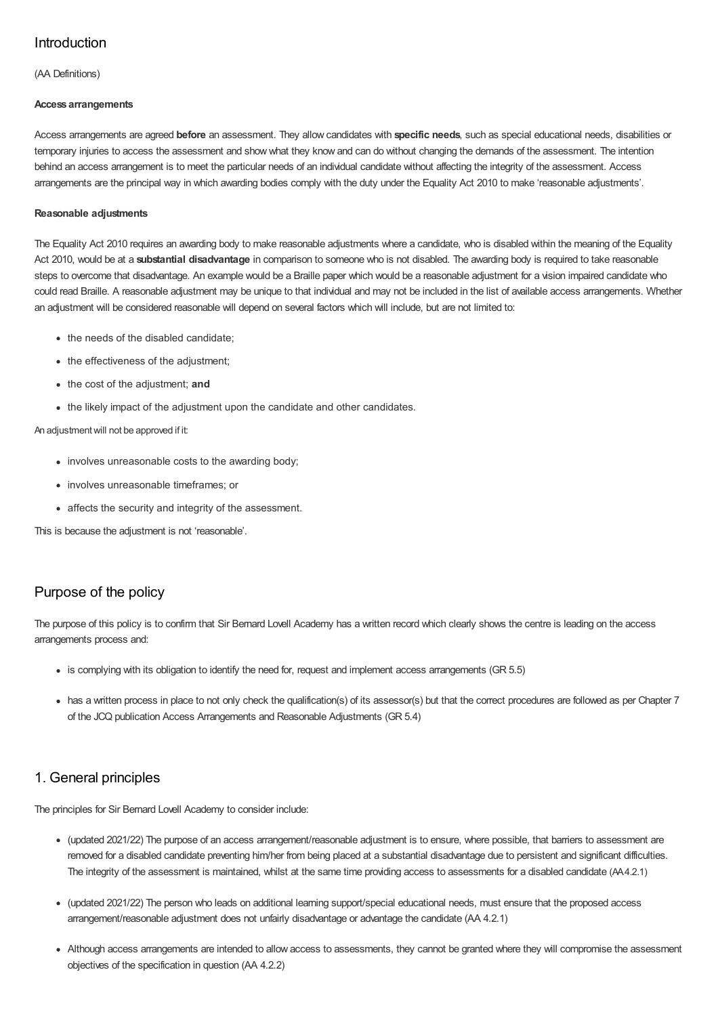# Introduction

(AA Definitions)

## **Access arrangements**

Access arrangements are agreed **before** an assessment. They allow candidates with **specific needs**, such as special educational needs, disabilities or temporary injuries to access the assessment and show what they know and can do without changing the demands of the assessment. The intention behind an access arrangement is to meet the particular needs of an individual candidate without affecting the integrity of the assessment. Access arrangements are the principal way in which awarding bodies comply with the duty under the Equality Act 2010 to make 'reasonable adjustments'.

## **Reasonable adjustments**

The Equality Act 2010 requires an awarding body to make reasonable adjustments where a candidate, who is disabled within the meaning of the Equality Act 2010, would be at a **substantial disadvantage** in comparison to someone who is not disabled. The awarding body is required to take reasonable steps to overcome that disadvantage. An example would be a Braille paper which would be a reasonable adjustment for a vision impaired candidate who could read Braille. A reasonable adjustment may be unique to that individual and may not be included in the list of available access arrangements. Whether an adjustment will be considered reasonable will depend on several factors which will include, but are not limited to:

- the needs of the disabled candidate;
- the effectiveness of the adjustment;
- the cost of the adjustment; **and**
- the likely impact of the adjustment upon the candidate and other candidates.

## An adjustmentwill not be approved if it:

- involves unreasonable costs to the awarding body:
- involves unreasonable timeframes; or
- affects the security and integrity of the assessment.

This is because the adjustment is not 'reasonable'.

# Purpose of the policy

The purpose of this policy is to confirm that Sir Bernard Lovell Academy has a written record which clearly shows the centre is leading on the access arrangements process and:

- is complying with its obligation to identify the need for, request and implement access arrangements (GR 5.5)
- has a written process in place to not only check the qualification(s) of its assessor(s) but that the correct procedures are followed as per Chapter 7 of the JCQ publication Access Arrangements and Reasonable Adjustments (GR 5.4)

# 1. General principles

The principles for Sir Bernard Lovell Academy to consider include:

- (updated 2021/22) The purpose of an access arrangement/reasonable adjustment is to ensure, where possible, that barriers to assessment are removed for a disabled candidate preventing him/her from being placed at a substantial disadvantage due to persistent and significant difficulties. The integrity of the assessment is maintained, whilst at the same time providing access to assessments for a disabled candidate (AA4.2.1)
- (updated 2021/22) The person who leads on additional learning support/special educational needs, must ensure that the proposed access arrangement/reasonable adjustment does not unfairly disadvantage or advantage the candidate (AA 4.2.1)
- Although access arrangements are intended to allow access to assessments, they cannot be granted where they will compromise the assessment objectives of the specification in question (AA 4.2.2)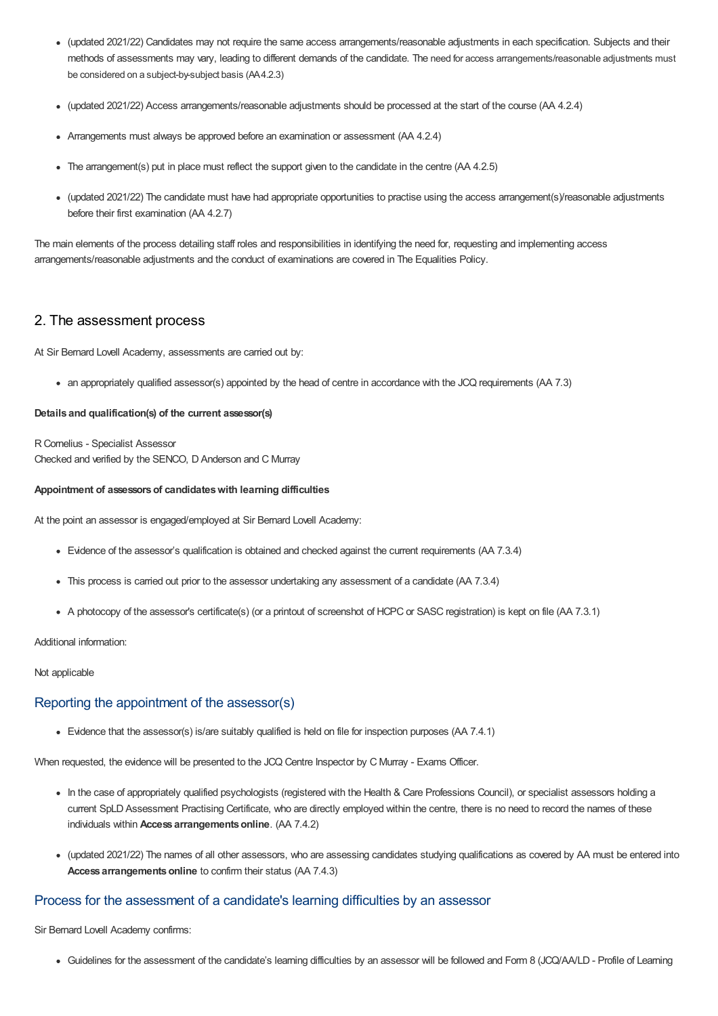- (updated 2021/22) Candidates may not require the same access arrangements/reasonable adjustments in each specification. Subjects and their methods of assessments may vary, leading to different demands of the candidate. The need for access arrangements/reasonable adjustments must be considered on a subject-by-subject basis (AA4.2.3)
- (updated 2021/22) Access arrangements/reasonable adjustments should be processed at the start of the course (AA 4.2.4)
- Arrangements must always be approved before an examination or assessment (AA 4.2.4)
- The arrangement(s) put in place must reflect the support given to the candidate in the centre (AA 4.2.5)
- (updated 2021/22) The candidate must have had appropriate opportunities to practise using the access arrangement(s)/reasonable adjustments before their first examination (AA 4.2.7)

The main elements of the process detailing staff roles and responsibilities in identifying the need for, requesting and implementing access arrangements/reasonable adjustments and the conduct of examinations are covered in The Equalities Policy.

## 2. The assessment process

At Sir Bernard Lovell Academy, assessments are carried out by:

an appropriately qualified assessor(s) appointed by the head of centre in accordance with the JCQ requirements (AA 7.3)

#### **Details and qualification(s) of the current assessor(s)**

R Cornelius - Specialist Assessor Checked and verified by the SENCO, D Anderson and C Murray

#### **Appointment of assessorsof candidateswith learning difficulties**

At the point an assessor is engaged/employed at Sir Bernard Lovell Academy:

- Evidence of the assessor's qualification is obtained and checked against the current requirements (AA 7.3.4)
- This process is carried out prior to the assessor undertaking any assessment of a candidate (AA 7.3.4)
- A photocopy of the assessor's certificate(s) (or a printout of screenshot of HCPC or SASC registration) is kept on file (AA 7.3.1)

Additional information:

Not applicable

## Reporting the appointment of the assessor(s)

Evidence that the assessor(s) is/are suitably qualified is held on file for inspection purposes (AA 7.4.1)

When requested, the evidence will be presented to the JCQ Centre Inspector by C Murray - Exams Officer.

- In the case of appropriately qualified psychologists (registered with the Health & Care Professions Council), or specialist assessors holding a current SpLD Assessment Practising Certificate, who are directly employed within the centre, there is no need to record the names of these individuals within **Access arrangementsonline**. (AA 7.4.2)
- (updated 2021/22) The names of all other assessors, who are assessing candidates studying qualifications as covered by AA must be entered into Access arrangements online to confirm their status (AA 7.4.3)

## Process for the assessment of a candidate's learning difficulties by an assessor

Sir Bernard Lovell Academy confirms:

Guidelines for the assessment of the candidate's learning difficulties by an assessor will be followed and Form 8 (JCQ/AA/LD - Profile of Learning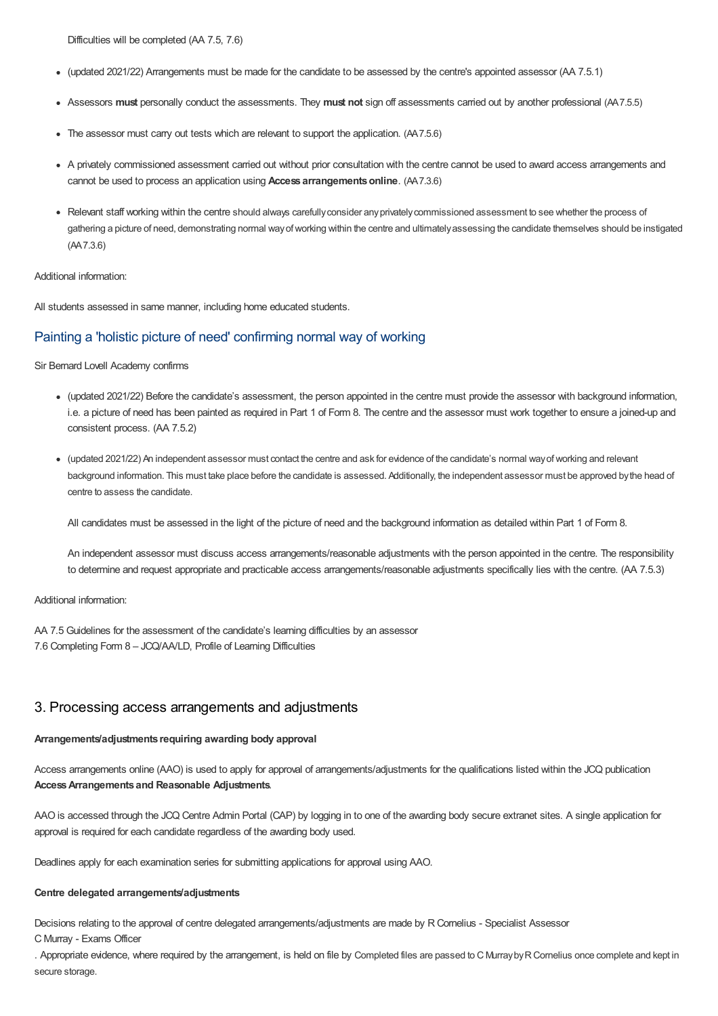Difficulties will be completed (AA 7.5, 7.6)

- (updated 2021/22) Arrangements must be made for the candidate to be assessed by the centre's appointed assessor (AA 7.5.1)
- Assessors **must** personally conduct the assessments. They **must not** sign off assessments carried out by another professional (AA7.5.5)
- The assessor must carry out tests which are relevant to support the application. (AA7.5.6)
- A privately commissioned assessment carried out without prior consultation with the centre cannot be used to award access arrangements and cannot be used to process an application using **Access arrangementsonline**. (AA7.3.6)
- Relevant staff working within the centre should always carefullyconsider anyprivatelycommissioned assessment to see whether the process of gathering a picture of need, demonstrating normal wayofworking within the centre and ultimatelyassessing the candidate themselves should be instigated (AA7.3.6)

## Additional information:

All students assessed in same manner, including home educated students.

## Painting a 'holistic picture of need' confirming normal way of working

Sir Bernard Lovell Academy confirms

- (updated 2021/22) Before the candidate's assessment, the person appointed in the centre must provide the assessor with background information, i.e. a picture of need has been painted as required in Part 1 of Form 8. The centre and the assessor must work together to ensure a joined-up and consistent process. (AA 7.5.2)
- (updated 2021/22) An independent assessor must contact the centre and ask for evidence of the candidate's normal wayofworking and relevant background information. This must take place before the candidate is assessed. Additionally, the independent assessor must be approved bythe head of centre to assess the candidate.

All candidates must be assessed in the light of the picture of need and the background information as detailed within Part 1 of Form 8.

An independent assessor must discuss access arrangements/reasonable adjustments with the person appointed in the centre. The responsibility to determine and request appropriate and practicable access arrangements/reasonable adjustments specifically lies with the centre. (AA 7.5.3)

## Additional information:

AA 7.5 Guidelines for the assessment of the candidate's learning difficulties by an assessor 7.6 Completing Form 8 – JCQ/AA/LD, Profile of Learning Difficulties

## 3. Processing access arrangements and adjustments

## **Arrangements/adjustments requiring awarding body approval**

Access arrangements online (AAO) is used to apply for approval of arrangements/adjustments for the qualifications listed within the JCQ publication **AccessArrangements and Reasonable Adjustments**.

AAO is accessed through the JCQ Centre Admin Portal (CAP) by logging in to one of the awarding body secure extranet sites. A single application for approval is required for each candidate regardless of the awarding body used.

Deadlines apply for each examination series for submitting applications for approval using AAO.

## **Centre delegated arrangements/adjustments**

Decisions relating to the approval of centre delegated arrangements/adjustments are made by R Cornelius - Specialist Assessor

C Murray - Exams Officer

. Appropriate evidence, where required by the arrangement, is held on file by Completed files are passed to C MurraybyRCornelius once complete and kept in secure storage.